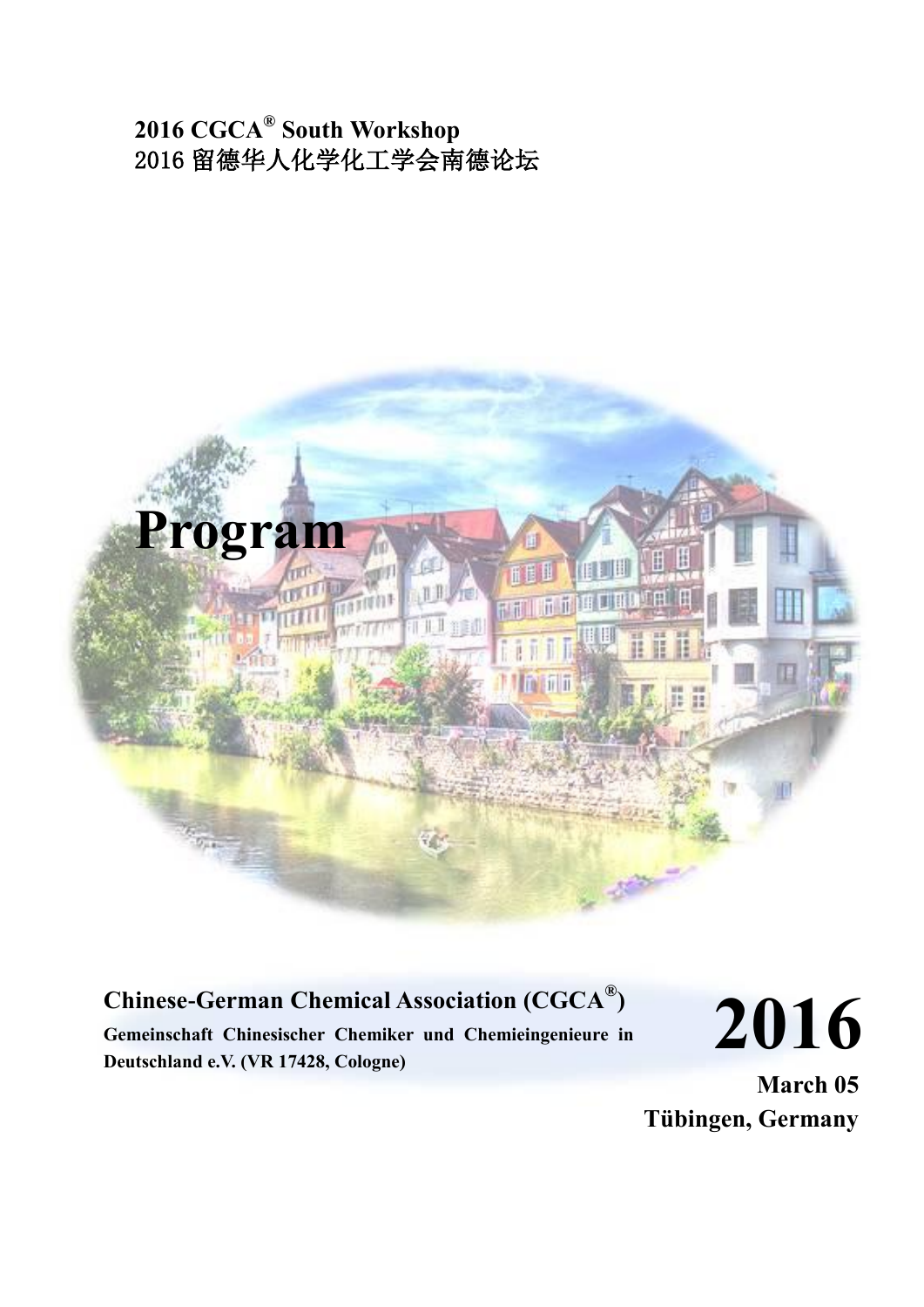# **2016 CGCA® South Workshop** 2016 留德华人化学化工学会南德论坛



## **Chinese-German Chemical Association (CGCA® )**

**Gemeinschaft Chinesischer Chemiker und Chemieingenieure in Deutschland e.V. (VR 17428, Cologne)**

**2016**

**March 05 Tübingen, Germany**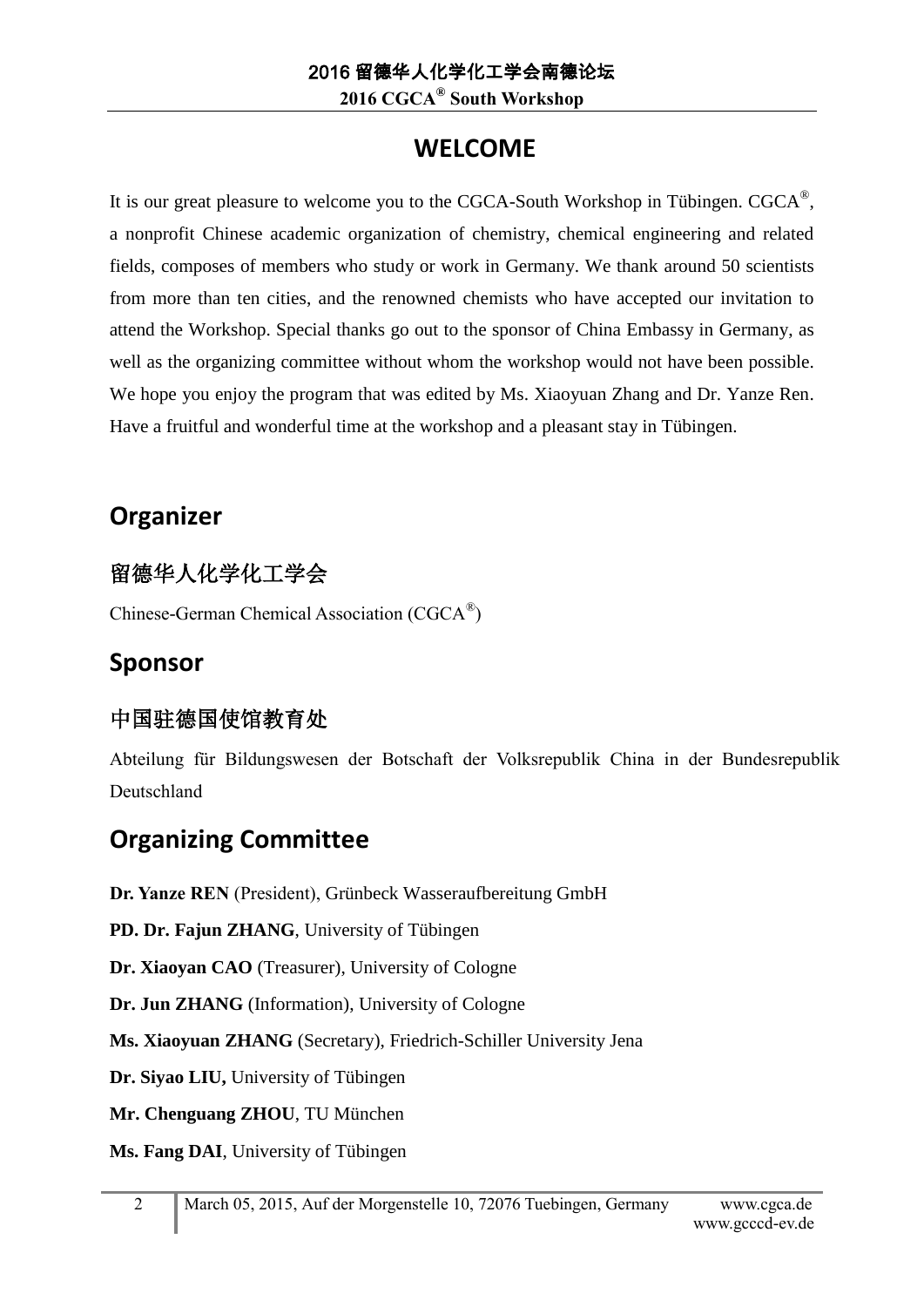**2016 CGCA® South Workshop**

# **WELCOME**

It is our great pleasure to welcome you to the CGCA-South Workshop in Tübingen. CGCA<sup>®</sup>, a nonprofit Chinese academic organization of chemistry, chemical engineering and related fields, composes of members who study or work in Germany. We thank around 50 scientists from more than ten cities, and the renowned chemists who have accepted our invitation to attend the Workshop. Special thanks go out to the sponsor of China Embassy in Germany, as well as the organizing committee without whom the workshop would not have been possible. We hope you enjoy the program that was edited by Ms. Xiaoyuan Zhang and Dr. Yanze Ren. Have a fruitful and wonderful time at the workshop and a pleasant stay in Tübingen.

# **Organizer**

# 留德华人化学化工学会

Chinese-German Chemical Association (CGCA<sup>®</sup>)

# **Sponsor**

## 中国驻德国使馆教育处

Abteilung für Bildungswesen der Botschaft der Volksrepublik China in der Bundesrepublik Deutschland

# **Organizing Committee**

**Dr. Yanze REN** (President), Grünbeck Wasseraufbereitung GmbH

**PD. Dr. Fajun ZHANG**, University of Tübingen

**Dr. Xiaoyan CAO** (Treasurer), University of Cologne

**Dr. Jun ZHANG** (Information), University of Cologne

**Ms. Xiaoyuan ZHANG** (Secretary), Friedrich-Schiller University Jena

**Dr. Siyao LIU,** University of Tübingen

**Mr. Chenguang ZHOU**, TU München

**Ms. Fang DAI**, University of Tübingen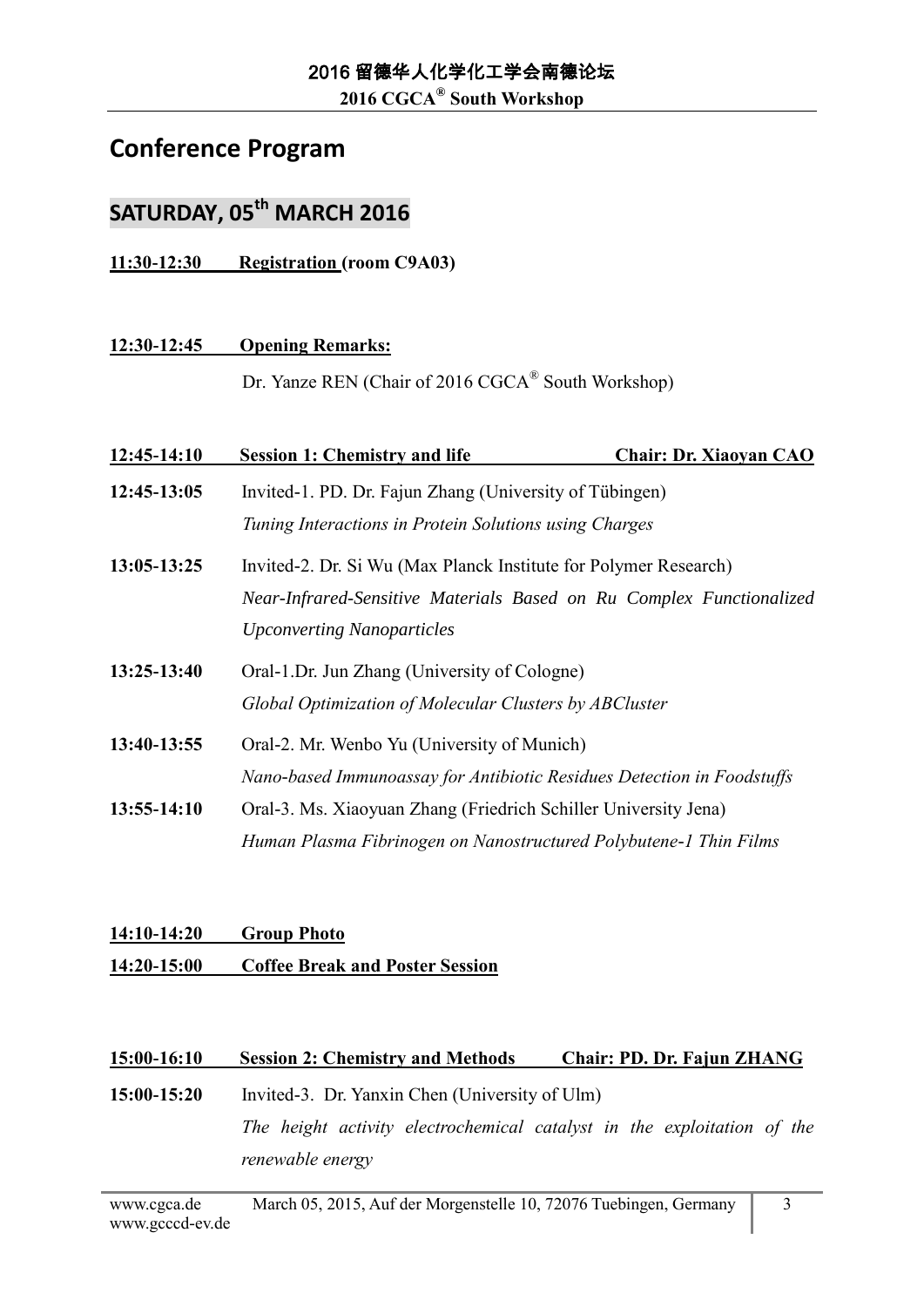**2016 CGCA® South Workshop**

### **Conference Program**

## **SATURDAY, 05th MARCH 2016**

**11:30-12:30 Registration (room C9A03)**

#### **12:30-12:45 Opening Remarks:**

Dr. Yanze REN (Chair of 2016 CGCA<sup>®</sup> South Workshop)

| 12:45-14:10 | <b>Session 1: Chemistry and life</b>                                   | <b>Chair: Dr. Xiaoyan CAO</b> |
|-------------|------------------------------------------------------------------------|-------------------------------|
| 12:45-13:05 | Invited-1. PD. Dr. Fajun Zhang (University of Tübingen)                |                               |
|             | Tuning Interactions in Protein Solutions using Charges                 |                               |
| 13:05-13:25 | Invited-2. Dr. Si Wu (Max Planck Institute for Polymer Research)       |                               |
|             | Near-Infrared-Sensitive Materials Based on Ru Complex Functionalized   |                               |
|             | <b>Upconverting Nanoparticles</b>                                      |                               |
| 13:25-13:40 | Oral-1.Dr. Jun Zhang (University of Cologne)                           |                               |
|             | Global Optimization of Molecular Clusters by ABCluster                 |                               |
| 13:40-13:55 | Oral-2. Mr. Wenbo Yu (University of Munich)                            |                               |
|             | Nano-based Immunoassay for Antibiotic Residues Detection in Foodstuffs |                               |
| 13:55-14:10 | Oral-3. Ms. Xiaoyuan Zhang (Friedrich Schiller University Jena)        |                               |
|             | Human Plasma Fibrinogen on Nanostructured Polybutene-1 Thin Films      |                               |

### **14:10-14:20 Group Photo 14:20-15:00 Coffee Break and Poster Session**

#### **15:00-16:10 Session 2: Chemistry and Methods Chair: PD. Dr. Fajun ZHANG**

**15:00-15:20** Invited-3. Dr. Yanxin Chen (University of Ulm) *The height activity electrochemical catalyst in the exploitation of the renewable energy*

3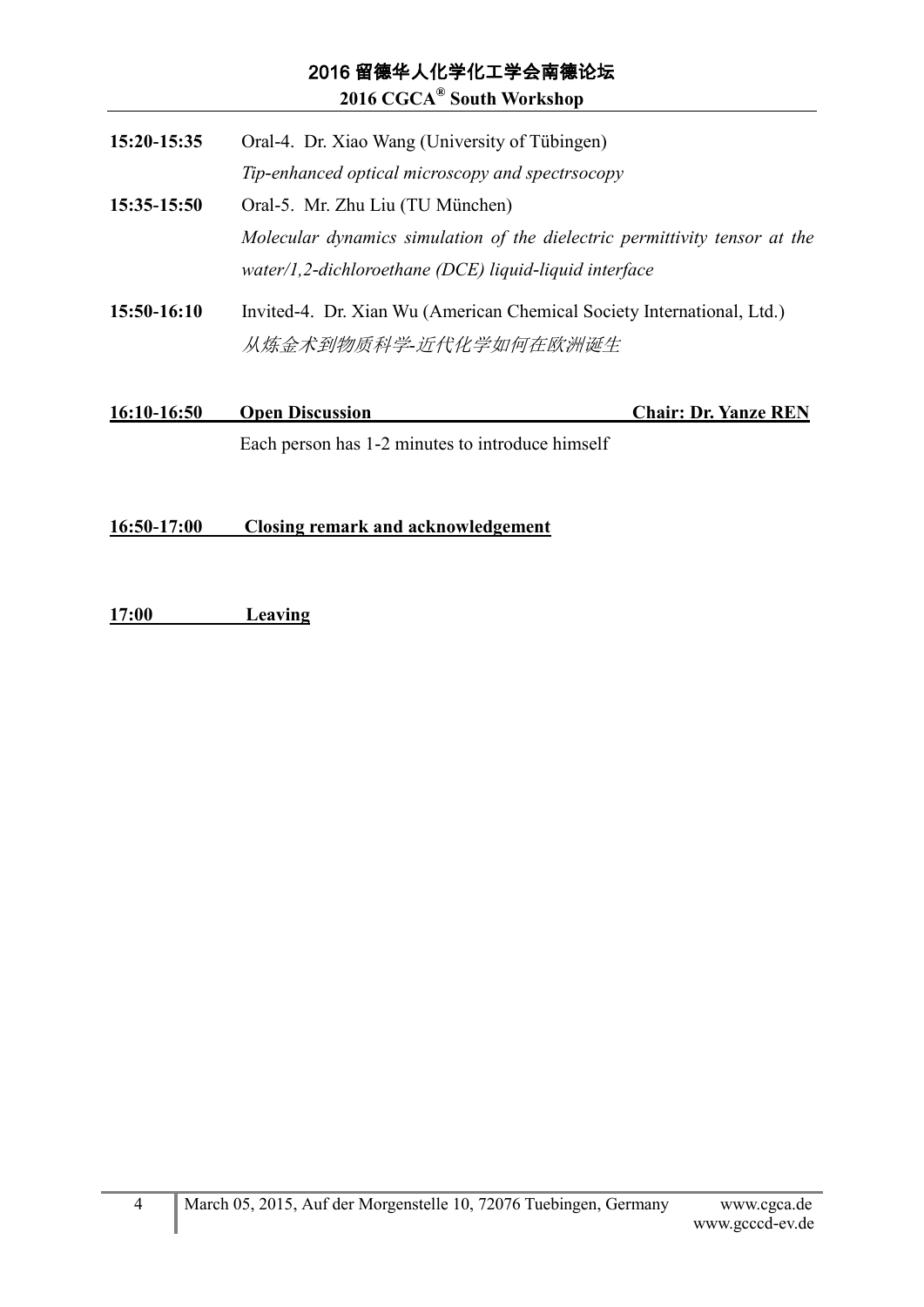### 2016 留德华人化学化工学会南德论坛 **2016 CGCA® South Workshop**

| 16:10-16:50 | <b>Open Discussion</b>                                                                                                               | <b>Chair: Dr. Yanze REN</b> |
|-------------|--------------------------------------------------------------------------------------------------------------------------------------|-----------------------------|
| 15:50-16:10 | Invited-4. Dr. Xian Wu (American Chemical Society International, Ltd.)<br>从炼金术到物质科学-近代化学如何在欧洲诞生                                      |                             |
|             | Molecular dynamics simulation of the dielectric permittivity tensor at the<br>water/1,2-dichloroethane (DCE) liquid-liquid interface |                             |
| 15:35-15:50 | Tip-enhanced optical microscopy and spectrsocopy<br>Oral-5. Mr. Zhu Liu (TU München)                                                 |                             |
| 15:20-15:35 | Oral-4. Dr. Xiao Wang (University of Tübingen)                                                                                       |                             |

Each person has 1-2 minutes to introduce himself

### **16:50-17:00 Closing remark and acknowledgement**

**17:00 Leaving**